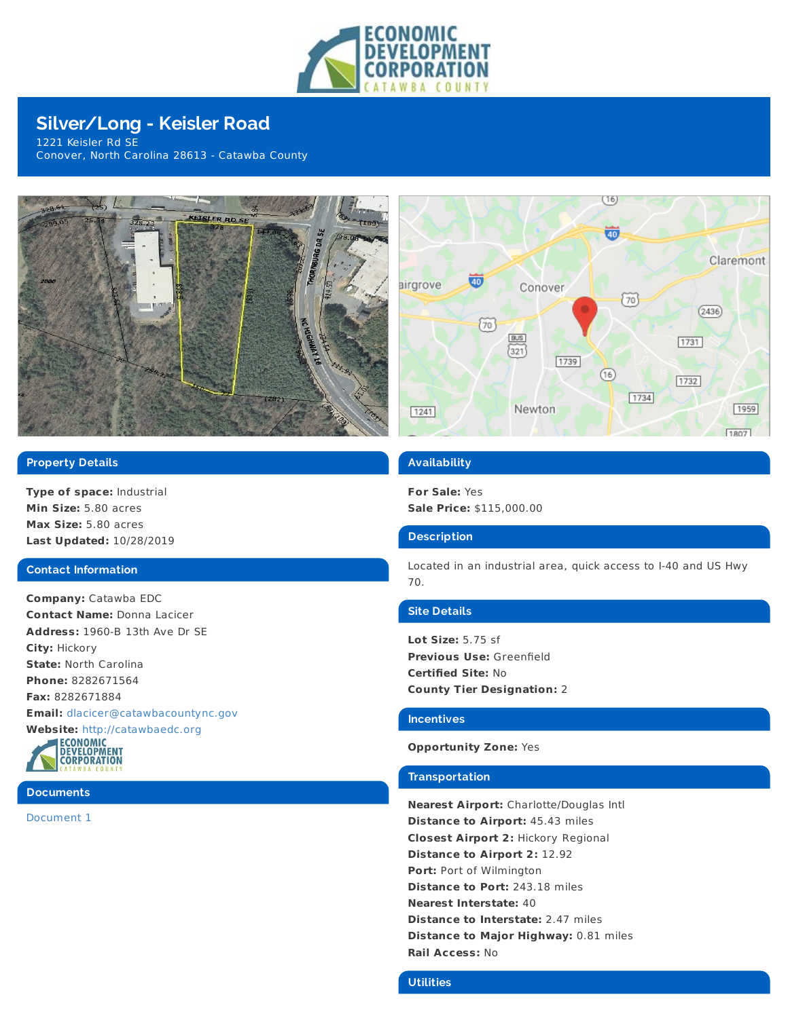

# **Silver/Long - Keisler Road**

1221 Keisler Rd SE Conover, North Carolina 28613 - Catawba County





**Type of space:** Industrial **Min Size:** 5.80 acres **Max Size:** 5.80 acres **Last Updated:** 10/28/2019

## **Contact Information**

**Company:** Catawba EDC **Contact Name:** Donna Lacicer **Address:** 1960-B 13th Ave Dr SE **City:** Hickory **State:** North Carolina **Phone:** 8282671564 **Fax:** 8282671884 **Email:** [dlacicer@catawbacountync.gov](mailto:dlacicer@catawbacountync.gov)





# **Documents**

[Document](https://admin.zoomprospector.com/photos/Northcarolina/photos/10495_27139.pdf) 1



# **Availability**

**For Sale:** Yes **Sale Price:** \$115,000.00

## **Description**

Located in an industrial area, quick access to I-40 and US Hwy 70.

## **Site Details**

**Lot Size:** 5.75 sf **Previous Use:** Greenfield **Certified Site:** No **County Tier Designation:** 2

#### **Incentives**

## **Opportunity Zone:** Yes

## **Transportation**

**Nearest Airport:** Charlotte/Douglas Intl **Distance to Airport:** 45.43 miles **Closest Airport 2:** Hickory Regional **Distance to Airport 2:** 12.92 **Port:** Port of Wilmington **Distance to Port:** 243.18 miles **Nearest Interstate:** 40 **Distance to Interstate:** 2.47 miles **Distance to Major Highway:** 0.81 miles **Rail Access:** No

# **Utilities**